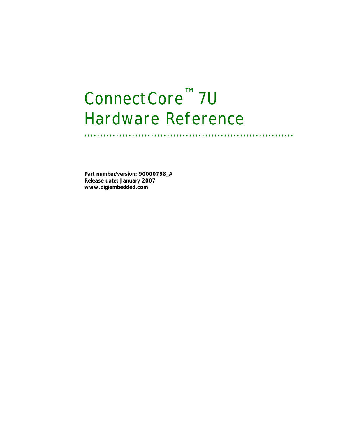# *ConnectCore™ 7U Hardware Reference*

**. . . . . . . . . . . . . . . . . . . . . . . . . . . . . . . . . . . . . . . . . . . . . . . . . . . . . . . . . . . . . . . . . .** 

**Part number/version: 90000798\_A Release date: January 2007 www.digiembedded.com**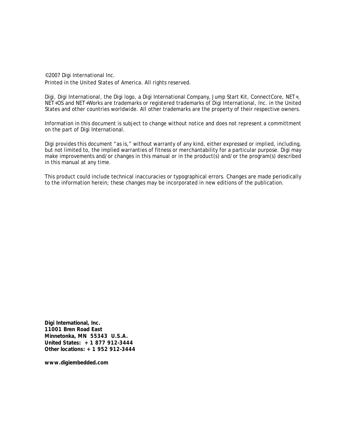©2007 Digi International Inc. Printed in the United States of America. All rights reserved.

Digi, Digi International, the Digi logo, a Digi International Company, Jump Start Kit, ConnectCore, NET+, NET+OS and NET+Works are trademarks or registered trademarks of Digi International, Inc. in the United States and other countries worldwide. All other trademarks are the property of their respective owners.

Information in this document is subject to change without notice and does not represent a committment on the part of Digi International.

Digi provides this document "as is," without warranty of any kind, either expressed or implied, including, but not limited to, the implied warranties of fitness or merchantability for a particular purpose. Digi may make improvements and/or changes in this manual or in the product(s) and/or the program(s) described in this manual at any time.

This product could include technical inaccuracies or typographical errors. Changes are made periodically to the information herein; these changes may be incorporated in new editions of the publication.

**Digi International, Inc. 11001 Bren Road East Minnetonka, MN 55343 U.S.A. United States: +1 877 912-3444 Other locations: +1 952 912-3444**

**www.digiembedded.com**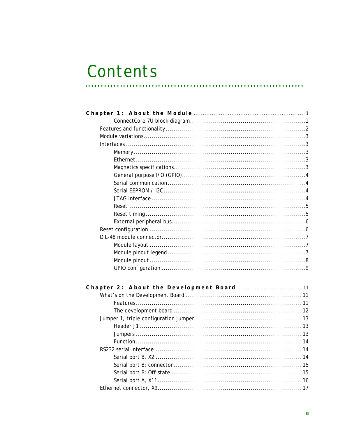# Contents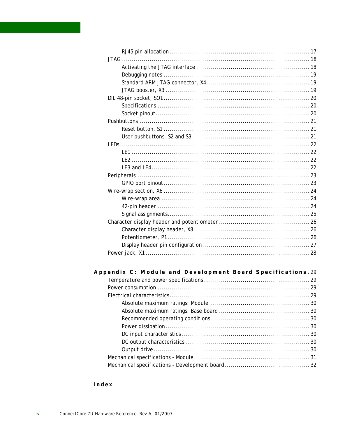| Appendix C: Module and Development Board Specifications.29 |  |
|------------------------------------------------------------|--|
|                                                            |  |
|                                                            |  |
|                                                            |  |
|                                                            |  |
|                                                            |  |

Index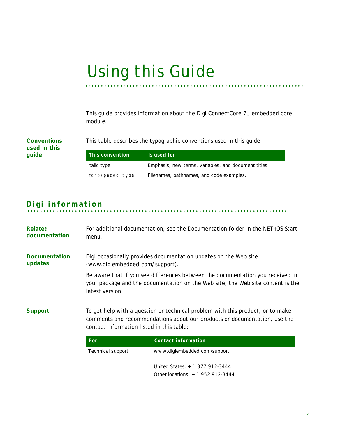# *Using this Guide* **. . . . . . . . . . . . . . . . . . . . . . . . . . . . . . . . . . . . . . . . . . . . . . . . . . . . . . . . . . . . . . . . . . . . .**

This guide provides information about the Digi ConnectCore 7U embedded core module.

**Conventions used in this guide**

This table describes the typographic conventions used in this guide:

| This convention    | Is used for                                          |
|--------------------|------------------------------------------------------|
| <i>italic</i> type | Emphasis, new terms, variables, and document titles. |
| monospaced type    | Filenames, pathnames, and code examples.             |

# **. . . . . . . . . . . . . . . . . . . . . . . . . . . . . . . . . . . . . . . . . . . . . . . . . . . . . . . . . . . . . . . . . . . . . . . . . . . . . . . . . . Digi information**

| Related<br>documentation        | For additional documentation, see the Documentation folder in the NET+OS Start<br>menu.                                                                                                                  |                                                                                                                                                                   |
|---------------------------------|----------------------------------------------------------------------------------------------------------------------------------------------------------------------------------------------------------|-------------------------------------------------------------------------------------------------------------------------------------------------------------------|
| <b>Documentation</b><br>updates | Digi occasionally provides documentation updates on the Web site<br>(www.digiembedded.com/support).                                                                                                      |                                                                                                                                                                   |
|                                 | latest version.                                                                                                                                                                                          | Be aware that if you see differences between the documentation you received in<br>your package and the documentation on the Web site, the Web site content is the |
| <b>Support</b>                  | To get help with a question or technical problem with this product, or to make<br>comments and recommendations about our products or documentation, use the<br>contact information listed in this table: |                                                                                                                                                                   |
|                                 | For                                                                                                                                                                                                      | <b>Contact information</b>                                                                                                                                        |
|                                 | <b>Technical support</b>                                                                                                                                                                                 | www.digiembedded.com/support                                                                                                                                      |
|                                 |                                                                                                                                                                                                          | United States: +1 877 912-3444<br>Other locations: +1 952 912-3444                                                                                                |
|                                 |                                                                                                                                                                                                          |                                                                                                                                                                   |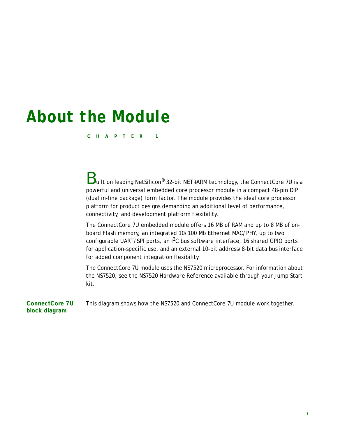# <span id="page-6-3"></span><span id="page-6-0"></span>*About the Module*

**CHAPTER 1**

<span id="page-6-4"></span> ${\bf B}$ uilt on leading NetSilicon® 32-bit NET+ARM technology, the ConnectCore 7U is a powerful and universal embedded core processor module in a compact 48-pin DIP (dual in-line package) form factor. The module provides the ideal core processor platform for product designs demanding an additional level of performance, connectivity, and development platform flexibility.

The ConnectCore 7U embedded module offers 16 MB of RAM and up to 8 MB of onboard Flash memory, an integrated 10/100 Mb Ethernet MAC/PHY, up to two configurable UART/SPI ports, an  $1^2C$  bus software interface, 16 shared GPIO ports for application-specific use, and an external 10-bit address/8-bit data bus interface for added component integration flexibility.

The ConnectCore 7U module uses the NS7520 microprocessor. For information about the NS7520, see the *NS7520 Hardware Reference* available through your Jump Start kit.

<span id="page-6-2"></span><span id="page-6-1"></span>**ConnectCore 7U block diagram** This diagram shows how the NS7520 and ConnectCore 7U module work together.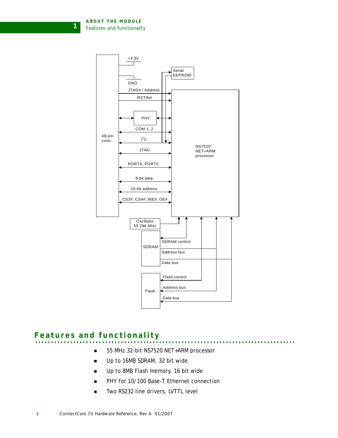**ABOUT THE MODULE** *Features and functionality*

**1**



# <span id="page-7-1"></span><span id="page-7-0"></span>**. . . . . . . . . . . . . . . . . . . . . . . . . . . . . . . . . . . . . . . . . . . . . . . . . . . . . . . . . . . . . . . . . . . . . . . . . . . . . . . . . . Features and functionality**

- - 55 MHz 32-bit NS7520 NET+ARM processor
	- Up to 16MB SDRAM, 32 bit wide
	- Up to 8MB Flash memory, 16 bit wide
	- PHY for 10/100 Base-T Ethernet connection
	- Two RS232 line drivers, LVTTL level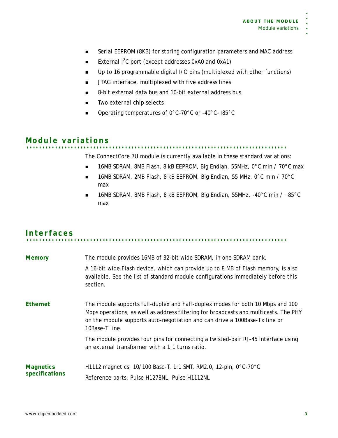- Serial EEPROM (8KB) for storing configuration parameters and MAC address
- External  $1^2C$  port (except addresses 0xA0 and 0xA1)
- Up to 16 programmable digital I/O pins (multiplexed with other functions)
- **JTAG** interface, multiplexed with five address lines
- 8-bit external data bus and 10-bit external address bus
- **Two external chip selects**
- Operating temperatures of 0°C-70°C or -40°C-+85°C

<span id="page-8-5"></span><span id="page-8-0"></span>**. . . . . . . . . . . . . . . . . . . . . . . . . . . . . . . . . . . . . . . . . . . . . . . . . . . . . . . . . . . . . . . . . . . . . . . . . . . . . . . . . . Module variations**

The ConnectCore 7U module is currently available in these standard variations:

- 16MB SDRAM, 8MB Flash, 8 kB EEPROM, Big Endian, 55MHz, 0°C min / 70°C max
- 16MB SDRAM, 2MB Flash, 8 kB EEPROM, Big Endian, 55 MHz, 0°C min / 70°C max
- 16MB SDRAM, 8MB Flash, 8 kB EEPROM, Big Endian, 55MHz, -40°C min / +85°C max

# <span id="page-8-1"></span>**. . . . . . . . . . . . . . . . . . . . . . . . . . . . . . . . . . . . . . . . . . . . . . . . . . . . . . . . . . . . . . . . . . . . . . . . . . . . . . . . . . Interfaces**

<span id="page-8-8"></span><span id="page-8-7"></span><span id="page-8-6"></span><span id="page-8-4"></span><span id="page-8-3"></span><span id="page-8-2"></span>

| <b>Memory</b>                      | The module provides 16MB of 32-bit wide SDRAM, in one SDRAM bank.<br>A 16-bit wide Flash device, which can provide up to 8 MB of Flash memory, is also<br>available. See the list of standard module configurations immediately before this<br>section.                |
|------------------------------------|------------------------------------------------------------------------------------------------------------------------------------------------------------------------------------------------------------------------------------------------------------------------|
| <b>Ethernet</b>                    | The module supports full-duplex and half-duplex modes for both 10 Mbps and 100<br>Mbps operations, as well as address filtering for broadcasts and multicasts. The PHY<br>on the module supports auto-negotiation and can drive a 100Base-Tx line or<br>10Base-T line. |
|                                    | The module provides four pins for connecting a twisted-pair RJ-45 interface using<br>an external transformer with a 1:1 turns ratio.                                                                                                                                   |
| <b>Magnetics</b><br>specifications | H1112 magnetics, 10/100 Base-T, 1:1 SMT, RM2.0, 12-pin, 0°C-70°C<br>Reference parts: Pulse H1278NL, Pulse H1112NL                                                                                                                                                      |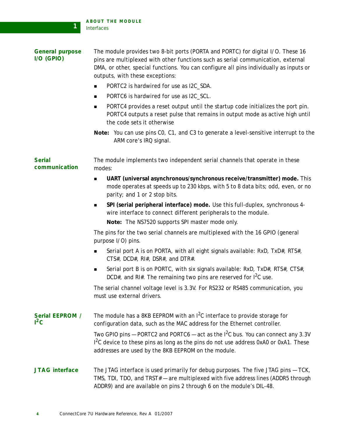<span id="page-9-4"></span>**1**

<span id="page-9-9"></span><span id="page-9-8"></span><span id="page-9-7"></span><span id="page-9-6"></span><span id="page-9-5"></span><span id="page-9-3"></span><span id="page-9-2"></span><span id="page-9-1"></span><span id="page-9-0"></span>

| <b>General purpose</b><br>$I/O$ (GPIO) | The module provides two 8-bit ports (PORTA and PORTC) for digital I/O. These 16<br>pins are multiplexed with other functions such as serial communication, external<br>DMA, or other, special functions. You can configure all pins individually as inputs or<br>outputs, with these exceptions: |  |  |
|----------------------------------------|--------------------------------------------------------------------------------------------------------------------------------------------------------------------------------------------------------------------------------------------------------------------------------------------------|--|--|
|                                        | PORTC2 is hardwired for use as I2C_SDA.<br>■                                                                                                                                                                                                                                                     |  |  |
|                                        | PORTC6 is hardwired for use as I2C_SCL.<br>$\blacksquare$                                                                                                                                                                                                                                        |  |  |
|                                        | PORTC4 provides a reset output until the startup code initializes the port pin.<br>■<br>PORTC4 outputs a reset pulse that remains in output mode as active high until<br>the code sets it otherwise                                                                                              |  |  |
|                                        | Note: You can use pins C0, C1, and C3 to generate a level-sensitive interrupt to the<br>ARM core's IRQ signal.                                                                                                                                                                                   |  |  |
| <b>Serial</b><br>communication         | The module implements two independent serial channels that operate in these<br>modes:                                                                                                                                                                                                            |  |  |
|                                        | UART (universal asynchronous/synchronous receive/transmitter) mode. This<br>$\blacksquare$<br>mode operates at speeds up to 230 kbps, with 5 to 8 data bits; odd, even, or no<br>parity; and 1 or 2 stop bits.                                                                                   |  |  |
|                                        | SPI (serial peripheral interface) mode. Use this full-duplex, synchronous 4-<br>■<br>wire interface to connect different peripherals to the module.<br>Note: The NS7520 supports SPI master mode only.                                                                                           |  |  |
|                                        | The pins for the two serial channels are multiplexed with the 16 GPIO (general<br>purpose I/O) pins.                                                                                                                                                                                             |  |  |
|                                        | Serial port A is on PORTA, with all eight signals available: RxD, TxD#, RTS#,<br>$\blacksquare$<br>CTS#, DCD#, RI#, DSR#, and DTR#.                                                                                                                                                              |  |  |
|                                        | Serial port B is on PORTC, with six signals available: RxD, TxD#, RTS#, CTS#,<br>п<br>DCD#, and RI#. The remaining two pins are reserved for $I^2C$ use.                                                                                                                                         |  |  |
|                                        | The serial channel voltage level is 3.3V. For RS232 or RS485 communication, you<br>must use external drivers                                                                                                                                                                                     |  |  |
| <b>Serial EEPROM /</b><br>$1^2C$       | The module has a 8KB EEPROM with an $1^2C$ interface to provide storage for<br>configuration data, such as the MAC address for the Ethernet controller.                                                                                                                                          |  |  |
|                                        | Two GPIO pins - PORTC2 and PORTC6 - act as the $I^2C$ bus. You can connect any 3.3V<br>I <sup>2</sup> C device to these pins as long as the pins do not use address 0xA0 or 0xA1. These<br>addresses are used by the 8KB EEPROM on the module.                                                   |  |  |
| <b>JTAG</b> interface                  | The JTAG interface is used primarily for debug purposes. The five JTAG pins - TCK,<br>TMS, TDI, TDO, and TRST# - are multiplexed with five address lines (ADDR5 through<br>ADDR9) and are available on pins 2 through 6 on the module's DIL-48.                                                  |  |  |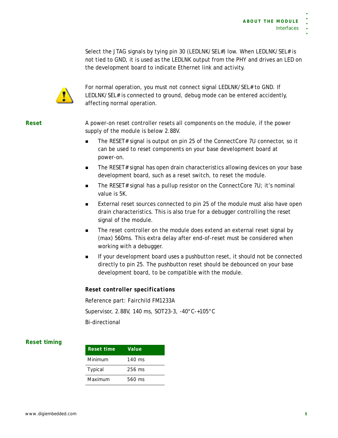Select the JTAG signals by tying pin 30 (LEDLNK/SEL#) low. When LEDLNK/SEL# is not tied to GND, it is used as the LEDLNK output from the PHY and drives an LED on the development board to indicate Ethernet link and activity.



For normal operation, you must not connect signal LEDLNK/SEL# to GND. If LEDLNK/SEL# is connected to ground, debug mode can be entered accidently, affecting normal operation.

<span id="page-10-2"></span><span id="page-10-0"></span>**Reset** A power-on reset controller resets all components on the module, if the power supply of the module is below 2.88V.

- The RESET# signal is output on pin 25 of the ConnectCore 7U connector, so it can be used to reset components on your base development board at power-on.
- **The RESET# signal has open drain characteristics allowing devices on your base** development board, such as a reset switch, to reset the module.
- The RESET# signal has a pullup resistor on the ConnectCore  $7U$ ; it's nominal value is 5K.
- **External reset sources connected to pin 25 of the module must also have open** drain characteristics. This is also true for a debugger controlling the reset signal of the module.
- The reset controller on the module does extend an external reset signal by (max) 560ms. This extra delay after end-of-reset must be considered when working with a debugger.
- **If your development board uses a pushbutton reset, it should not be connected** directly to pin 25. The pushbutton reset should be debounced on your base development board, to be compatible with the module.

### *Reset controller specifications*

Reference part: Fairchild FM1233A Supervisor, 2.88V, 140 ms, SOT23-3, -40°C-+105°C Bi-directional

### <span id="page-10-3"></span><span id="page-10-1"></span>**Reset timing**

| Reset time     | Value            |
|----------------|------------------|
| Minimum        | $140 \text{ ms}$ |
| <b>Typical</b> | 256 ms           |
| Maximum        | 560 ms           |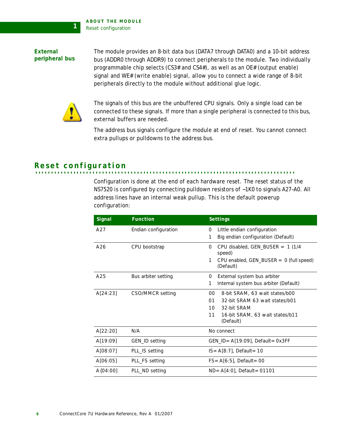**ABOUT THE MODULE** *Reset configuration*

<span id="page-11-2"></span><span id="page-11-0"></span>**External peripheral bus** The module provides an 8-bit data bus (DATA7 through DATA0) and a 10-bit address bus (ADDR0 through ADDR9) to connect peripherals to the module. Two individually programmable chip selects (CS3# and CS4#), as well as an OE# (output enable) signal and WE# (write enable) signal, allow you to connect a wide range of 8-bit peripherals directly to the module without additional glue logic.



**1**

The signals of this bus are the unbuffered CPU signals. Only a single load can be connected to these signals. If more than a single peripheral is connected to this bus, external buffers are needed.

The address bus signals configure the module at end of reset. You cannot connect extra pullups or pulldowns to the address bus.

# <span id="page-11-3"></span><span id="page-11-1"></span>**. . . . . . . . . . . . . . . . . . . . . . . . . . . . . . . . . . . . . . . . . . . . . . . . . . . . . . . . . . . . . . . . . . . . . . . . . . . . . . . . . . Reset configuration**

Configuration is done at the end of each hardware reset. The reset status of the NS7520 is configured by connecting pulldown resistors of ~1K0 to signals A27–A0. All address lines have an internal weak pullup. This is the default powerup configuration:

| Signal     | <b>Function</b>      | <b>Settings</b>                                             |
|------------|----------------------|-------------------------------------------------------------|
| A27        | Endian configuration | Little endian configuration<br>0                            |
|            |                      | Big endian configuration (Default)<br>1                     |
| A26        | CPU bootstrap        | CPU disabled, GEN_BUSER = $1(1/4)$<br>0<br>speed)           |
|            |                      | CPU enabled, $GEN_BUSER = 0$ (full speed)<br>1<br>(Default) |
| A25        | Bus arbiter setting  | External system bus arbiter<br>0                            |
|            |                      | Internal system bus arbiter (Default)<br>1                  |
| A[24:23]   | CSO/MMCR setting     | 00<br>8-bit SRAM, 63 wait states/b00                        |
|            |                      | 32-bit SRAM 63 wait states/b01<br>01                        |
|            |                      | 32-bit SRAM<br>10 <sup>1</sup>                              |
|            |                      | 11<br>16-bit SRAM, 63 wait states/b11                       |
|            |                      | (Default)                                                   |
| A[22:20]   | N/A                  | No connect                                                  |
| A[19:09]   | GEN_ID setting       | $GEN_lD = A[19:09]$ , Default = 0x3FF                       |
| A[08:07]   | PLL_IS setting       | $IS = A[8:7]$ , Default = 10                                |
| A[06:05]   | PLL_FS setting       | $FS = A[6:5]$ , Default = 00                                |
| $A{04:00}$ | PLL_ND setting       | $ND = A[4:0]$ , Default = 01101                             |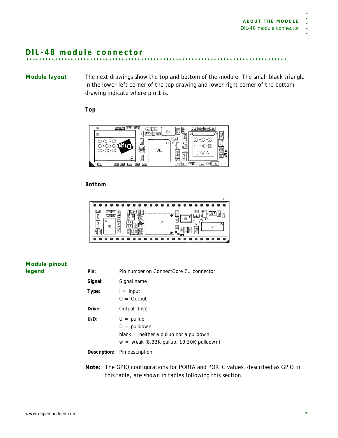<span id="page-12-4"></span><span id="page-12-0"></span>**. . . . . . . . . . . . . . . . . . . . . . . . . . . . . . . . . . . . . . . . . . . . . . . . . . . . . . . . . . . . . . . . . . . . . . . . . . . . . . . . . . DIL-48 module connector**

<span id="page-12-5"></span><span id="page-12-1"></span>**Module layout** The next drawings show the top and bottom of the module. The small black triangle in the lower left corner of the top drawing and lower right corner of the bottom drawing indicate where pin 1 is.

### *Top*



### *Bottom*

### <span id="page-12-3"></span><span id="page-12-2"></span>**Module pinout legend**

| Pin:    | Pin number on ConnectCore 7U connector                                                                                          |
|---------|---------------------------------------------------------------------------------------------------------------------------------|
| Signal: | Signal name                                                                                                                     |
| Type:   | $l =$ Input<br>$O =$ Output                                                                                                     |
| Drive:  | Output drive                                                                                                                    |
| U/D:    | $U = \text{pullup}$<br>$D =$ pulldown<br>$blank = neither a pulup nor a pulldown$<br>$w =$ weak (8.33K pullup, 10.30K pulldown) |
|         | <b>Description:</b> Pin description                                                                                             |

**Note:** The GPIO configurations for PORTA and PORTC values, described as *GPIO* in this table, are shown in tables following this section.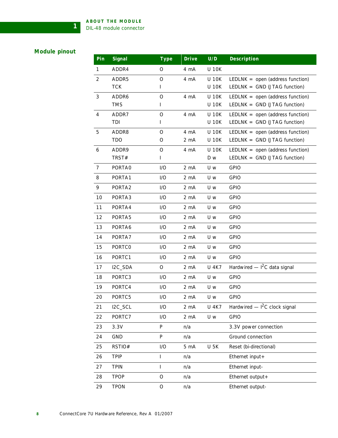## <span id="page-13-1"></span><span id="page-13-0"></span>**Module pinout**

**1**

| Pin            | Signal        | <b>Type</b>  | <b>Drive</b>     | U/D          | Description                        |
|----------------|---------------|--------------|------------------|--------------|------------------------------------|
| 1              | ADDR4         | $\circ$      | 4 mA             | <b>U 10K</b> |                                    |
| 2              | ADDR5         | O            | 4 mA             | <b>U 10K</b> | LEDLNK = $open$ (address function) |
|                | <b>TCK</b>    | L            |                  | <b>U 10K</b> | LEDLNK = $GND$ (JTAG function)     |
| 3              | ADDR6         | O            | 4 mA             | <b>U 10K</b> | LEDLNK = $open$ (address function) |
|                | <b>TMS</b>    | L            |                  | <b>U 10K</b> | LEDLNK = $GND$ (JTAG function)     |
| $\overline{4}$ | ADDR7         | O            | 4 mA             | <b>U 10K</b> | LEDLNK = $open$ (address function) |
|                | TDI           | L            |                  | <b>U 10K</b> | LEDLNK = $GND$ (JTAG function)     |
| 5              | ADDR8         | O            | 4 mA             | <b>U 10K</b> | LEDLNK = $open$ (address function) |
|                | <b>TDO</b>    | O            | 2 mA             | <b>U 10K</b> | LEDLNK = $GND$ (JTAG function)     |
| 6              | ADDR9         | $\circ$      | 4 mA             | <b>U 10K</b> | LEDLNK = $open$ (address function) |
|                | TRST#         | L            |                  | D w          | LEDLNK = $GND$ (JTAG function)     |
| $\overline{7}$ | PORTA0        | I/O          | 2 <sub>m</sub> A | U w          | <b>GPIO</b>                        |
| 8              | PORTA1        | I/O          | 2 <sub>m</sub> A | U w          | <b>GPIO</b>                        |
| 9              | PORTA2        | I/O          | 2 mA             | U w          | <b>GPIO</b>                        |
| 10             | PORTA3        | I/O          | 2 <sub>m</sub> A | U w          | <b>GPIO</b>                        |
| 11             | PORTA4        | I/O          | 2 <sub>m</sub> A | U w          | <b>GPIO</b>                        |
| 12             | PORTA5        | I/O          | 2 <sub>m</sub> A | U w          | <b>GPIO</b>                        |
| 13             | PORTA6        | I/O          | 2 <sub>m</sub> A | U w          | <b>GPIO</b>                        |
| 14             | PORTA7        | I/O          | 2 <sub>m</sub> A | U w          | <b>GPIO</b>                        |
| 15             | <b>PORTCO</b> | I/O          | 2 <sub>m</sub> A | U w          | <b>GPIO</b>                        |
| 16             | PORTC1        | I/O          | 2 <sub>m</sub> A | U w          | <b>GPIO</b>                        |
| 17             | I2C_SDA       | O            | 2 <sub>m</sub> A | <b>U 4K7</b> | Hardwired $-12C$ data signal       |
| 18             | PORTC3        | I/O          | 2 <sub>m</sub> A | U w          | <b>GPIO</b>                        |
| 19             | PORTC4        | I/O          | 2 <sub>m</sub> A | U w          | <b>GPIO</b>                        |
| 20             | PORTC5        | I/O          | 2 <sub>m</sub> A | U w          | <b>GPIO</b>                        |
| 21             | I2C_SCL       | I/O          | 2 mA             | <b>U 4K7</b> | Hardwired $ I^2C$ clock signal     |
| 22             | PORTC7        | I/O          | 2 mA             | U w          | <b>GPIO</b>                        |
| 23             | 3.3V          | P            | n/a              |              | 3.3V power connection              |
| 24             | <b>GND</b>    | P            | n/a              |              | Ground connection                  |
| 25             | RSTIO#        | I/O          | 5 <sub>mA</sub>  | <b>U 5K</b>  | Reset (bi-directional)             |
| 26             | <b>TPIP</b>   | $\mathsf{I}$ | n/a              |              | Ethernet input +                   |
| 27             | <b>TPIN</b>   | L            | n/a              |              | Ethernet input-                    |
| 28             | <b>TPOP</b>   | ${\cal O}$   | n/a              |              | Ethernet output +                  |
| 29             | <b>TPON</b>   | $\rm{O}$     | n/a              |              | Ethernet output-                   |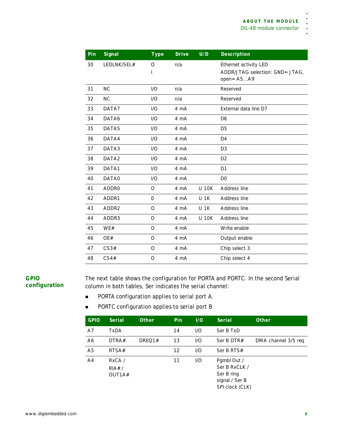| Pin | Signal            | <b>Type</b>              | <b>Drive</b> | U/D          | Description                                                               |
|-----|-------------------|--------------------------|--------------|--------------|---------------------------------------------------------------------------|
| 30  | LEDLNK/SEL#       | $\Omega$<br>$\mathsf{I}$ | n/a          |              | Ethernet activity LED<br>ADDR/JTAG selection: GND= JTAG,<br>$open = A5A9$ |
| 31  | NC                | I/O                      | n/a          |              | Reserved                                                                  |
| 32  | <b>NC</b>         | 1/O                      | n/a          |              | Reserved                                                                  |
| 33  | DATA7             | 1/O                      | 4 mA         |              | External data line D7                                                     |
| 34  | DATA6             | 1/O                      | 4 mA         |              | D <sub>6</sub>                                                            |
| 35  | DATA5             | 1/O                      | 4 mA         |              | D <sub>5</sub>                                                            |
| 36  | DATA4             | 1/O                      | 4 mA         |              | D <sub>4</sub>                                                            |
| 37  | DATA3             | 1/O                      | 4 mA         |              | D <sub>3</sub>                                                            |
| 38  | DATA <sub>2</sub> | 1/O                      | 4 mA         |              | D <sub>2</sub>                                                            |
| 39  | DATA1             | I/O                      | 4 mA         |              | D <sub>1</sub>                                                            |
| 40  | DATA0             | 1/O                      | 4 mA         |              | D <sub>0</sub>                                                            |
| 41  | <b>ADDRO</b>      | $\circ$                  | 4 mA         | <b>U 10K</b> | Address line                                                              |
| 42  | ADDR1             | $\mathbf{O}$             | 4 mA         | <b>U 1K</b>  | Address line                                                              |
| 43  | ADDR2             | $\circ$                  | 4 mA         | <b>U 1K</b>  | Address line                                                              |
| 44  | ADDR3             | $\circ$                  | 4 mA         | <b>U 10K</b> | Address line                                                              |
| 45  | WE#               | $\circ$                  | 4 mA         |              | Write enable                                                              |
| 46  | OE#               | $\Omega$                 | 4 mA         |              | Output enable                                                             |
| 47  | CS3#              | $\circ$                  | 4 mA         |              | Chip select 3                                                             |
| 48  | CS4#              | O                        | 4 mA         |              | Chip select 4                                                             |

## <span id="page-14-1"></span><span id="page-14-0"></span>**GPIO configuration**

The next table shows the configuration for PORTA and PORTC. In the second *Serial* column in both tables, *Ser* indicates the serial channel:

- **PORTA configuration applies to serial port A.**
- **PORTC configuration applies to serial port B**

| <b>GPIO</b>    | Serial      | <b>Other</b> | Pin | 1/0 | <b>Serial</b>   | <b>Other</b>        |
|----------------|-------------|--------------|-----|-----|-----------------|---------------------|
| A7             | <b>TxDA</b> |              | 14  | 1/O | Ser B TxD       |                     |
| A6             | DTRA#       | DREQ1#       | 13  | 1/O | Ser B DTR#      | DMA channel 3/5 req |
| A <sub>5</sub> | RTSA#       |              | 12  | 1/O | Ser B RTS#      |                     |
| A <sup>4</sup> | RxCA /      |              | 11  | 1/O | Pgmbl Out /     |                     |
|                | RIA# /      |              |     |     | Ser B RxCLK /   |                     |
|                | OUT1A#      |              |     |     | Ser B ring      |                     |
|                |             |              |     |     | signal / Ser B  |                     |
|                |             |              |     |     | SPI clock (CLK) |                     |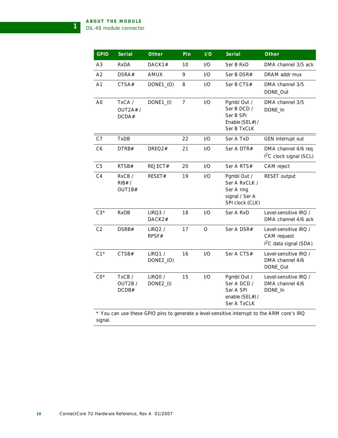**1**

| <b>GPIO</b>    | Serial                      | Other                      | Pin            | 1/0     | Serial                                                                          | Other                                                                                                                                                |
|----------------|-----------------------------|----------------------------|----------------|---------|---------------------------------------------------------------------------------|------------------------------------------------------------------------------------------------------------------------------------------------------|
| A3             | <b>RxDA</b>                 | DACK1#                     | 10             | I/O     | Ser B RxD                                                                       | DMA channel 3/5 ack                                                                                                                                  |
| A2             | DSRA#                       | <b>AMUX</b>                | 9              | I/O     | Ser B DSR#                                                                      | DRAM addr mux                                                                                                                                        |
| A <sub>1</sub> | CTSA#                       | DONE1_(O)                  | 8              | I/O     | Ser B CTS#                                                                      | DMA channel 3/5<br>DONE_Out                                                                                                                          |
| A <sub>0</sub> | TxCA /<br>OUT2A#/<br>DCDA#  | DONE1_(I)                  | $\overline{7}$ | I/O     | Pgmbl Out /<br>Ser B DCD /<br>Ser B SPI<br>Enable (SEL#) /<br>Ser B TxCLK       | DMA channel 3/5<br>DONE_In                                                                                                                           |
| C7             | TxDB                        |                            | 22             | 1/O     | Ser A TxD                                                                       | GEN interrupt out                                                                                                                                    |
| C <sub>6</sub> | DTRB#                       | DREQ2#                     | 21             | I/O     | Ser A DTR#                                                                      | DMA channel 4/6 req<br>$12C$ clock signal (SCL)                                                                                                      |
| C <sub>5</sub> | RTSB#                       | REJECT#                    | 20             | I/O     | Ser A RTS#                                                                      | CAM reject                                                                                                                                           |
| C <sub>4</sub> | RxCB/<br>$RIB#$ /<br>OUT1B# | RESET#                     | 19             | I/O     | Pgmbl Out /<br>Ser A RxCLK /<br>Ser A ring<br>signal / Ser A<br>SPI clock (CLK) | <b>RESET output</b>                                                                                                                                  |
| $C3*$          | <b>RxDB</b>                 | LIRQ3/<br>DACK2#           | 18             | I/O     | Ser A RxD                                                                       | Level-sensitive IRQ /<br>DMA channel 4/6 ack                                                                                                         |
| C <sub>2</sub> | DSRB#                       | <b>LIRQ2/</b><br>RPSF#     | 17             | $\circ$ | Ser A DSR#                                                                      | Level-sensitive IRQ /<br>CAM request<br>$12C$ data signal (SDA)                                                                                      |
| $C1*$          | CTSB#                       | <b>LIRQ1/</b><br>DONE2_(O) | 16             | I/O     | Ser A CTS#                                                                      | Level-sensitive IRQ /<br>DMA channel 4/6<br>DONE_Out                                                                                                 |
| $CO*$          | TxCB/<br>OUT2B/<br>DCDB#    | LIRQ0 /<br>DONE2_(I)       | 15             | I/O     | Pambl Out /<br>Ser A DCD /<br>Ser A SPI<br>enable (SEL#) /<br>Ser A TxCLK       | Level-sensitive IRQ /<br>DMA channel 4/6<br>DONE_In<br>$*$ You can use these GPIO pins to generate a level-sensitive interrupt to the ARM core's IRO |

<span id="page-15-0"></span>\* You can use these GPIO pins to generate a level-sensitive interrupt to the ARM core's IRQ signal.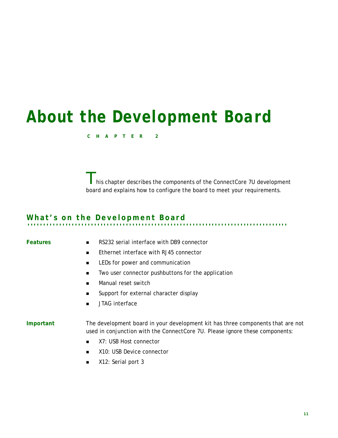# <span id="page-16-0"></span>*About the Development Board*

#### <span id="page-16-3"></span>**CHAPTER 2**

I his chapter describes the components of the ConnectCore 7U development board and explains how to configure the board to meet your requirements.

# <span id="page-16-1"></span>**. . . . . . . . . . . . . . . . . . . . . . . . . . . . . . . . . . . . . . . . . . . . . . . . . . . . . . . . . . . . . . . . . . . . . . . . . . . . . . . . . . What's on the Development Board**

<span id="page-16-4"></span><span id="page-16-2"></span>

- **Features** RS232 serial interface with DB9 connector
	- **Ethernet interface with RJ45 connector**
	- **EXECUTE:** LEDs for power and communication
	- **Two user connector pushbuttons for the application**
	- **Manual reset switch**
	- Support for external character display
	- **JTAG** interface

**Important** The development board in your development kit has three components that are not used in conjunction with the ConnectCore 7U. Please ignore these components:

- X7: USB Host connector
- X10: USB Device connector
- X12: Serial port 3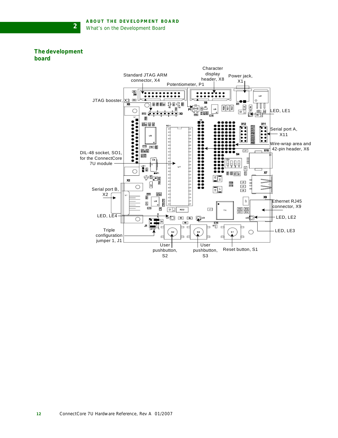### <span id="page-17-1"></span><span id="page-17-0"></span>**The development board**

**2**

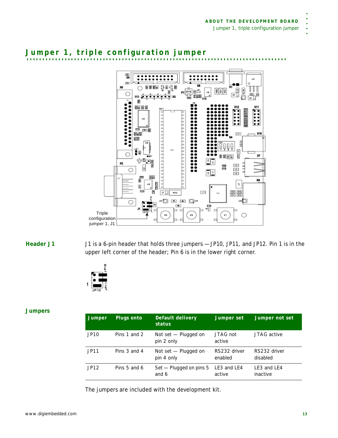<span id="page-18-5"></span><span id="page-18-0"></span>



<span id="page-18-3"></span><span id="page-18-1"></span>**Header J1** J1 is a 6-pin header that holds three jumpers — JP10, JP11, and JP12. Pin 1 is in the upper left corner of the header; Pin 6 is in the lower right corner.



#### <span id="page-18-4"></span><span id="page-18-2"></span>**Jumpers**

| Jumper           | Plugs onto   | Default delivery<br>status         | Jumper set              | Jumper not set           |
|------------------|--------------|------------------------------------|-------------------------|--------------------------|
| JP <sub>10</sub> | Pins 1 and 2 | Not set - Plugged on<br>pin 2 only | JTAG not<br>active      | JTAG active              |
| JP11             | Pins 3 and 4 | Not set - Plugged on<br>pin 4 only | RS232 driver<br>enabled | RS232 driver<br>disabled |
| JP12             | Pins 5 and 6 | Set — Plugged on pins 5<br>and 6   | LE3 and LE4<br>active   | LE3 and LE4<br>inactive  |

The jumpers are included with the development kit.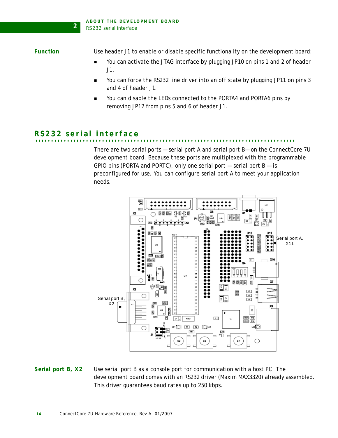<span id="page-19-4"></span><span id="page-19-0"></span>Function Use header J1 to enable or disable specific functionality on the development board:

- You can activate the JTAG interface by plugging JP10 on pins 1 and 2 of header J1.
- You can force the RS232 line driver into an *off* state by plugging JP11 on pins 3 and 4 of header J1.
- You can disable the LEDs connected to the PORTA4 and PORTA6 pins by removing JP12 from pins 5 and 6 of header J1.

## <span id="page-19-5"></span><span id="page-19-1"></span>**. . . . . . . . . . . . . . . . . . . . . . . . . . . . . . . . . . . . . . . . . . . . . . . . . . . . . . . . . . . . . . . . . . . . . . . . . . . . . . . . . . RS232 serial interface**

**2**

There are two serial ports — serial port A and serial port B— on the ConnectCore 7U development board. Because these ports are multiplexed with the programmable GPIO pins (PORTA and PORTC), only one serial port  $-$  serial port  $B -$  is preconfigured for use. You can configure serial port A to meet your application needs.



<span id="page-19-3"></span><span id="page-19-2"></span>**Serial port B, X2** Use serial port B as a console port for communication with a host PC. The development board comes with an RS232 driver (Maxim MAX3320) already assembled. This driver guarantees baud rates up to 250 kbps.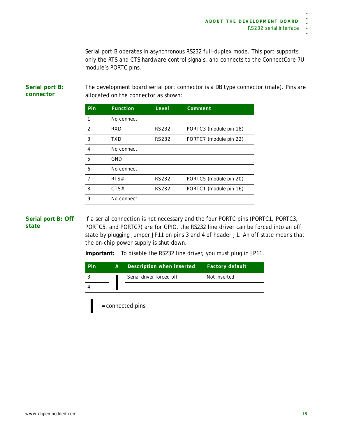Serial port B operates in asynchronous RS232 full-duplex mode. This port supports only the RTS and CTS hardware control signals, and connects to the ConnectCore 7U module's PORTC pins.

The development board serial port connector is a DB type connector (male). Pins are allocated on the connector as shown:

| <b>Pin</b>     | <b>Function</b> | Level        | Comment                |
|----------------|-----------------|--------------|------------------------|
| 1              | No connect      |              |                        |
| $\mathcal{P}$  | RXD             | <b>RS232</b> | PORTC3 (module pin 18) |
| 3              | TXD             | <b>RS232</b> | PORTC7 (module pin 22) |
| $\overline{4}$ | No connect      |              |                        |
| 5              | <b>GND</b>      |              |                        |
| 6              | No connect      |              |                        |
| 7              | RTS#            | <b>RS232</b> | PORTC5 (module pin 20) |
| 8              | CTS#            | RS232        | PORTC1 (module pin 16) |
| 9              | No connect      |              |                        |

<span id="page-20-3"></span><span id="page-20-1"></span>**Serial port B:** *Off* **state** If a serial connection is not necessary and the four PORTC pins (PORTC1, PORTC3, PORTC5, and PORTC7) are for GPIO, the RS232 line driver can be forced into an *off* state by plugging jumper JP11 on pins 3 and 4 of header J1. An *off* state means that the on-chip power supply is shut down.

**Important:** To disable the RS232 line driver, you must plug in JP11.

| Pin | 'A I | Description when inserted | <b>Factory default</b> |
|-----|------|---------------------------|------------------------|
|     |      | Serial driver forced off  | Not inserted           |
|     |      |                           |                        |

= connected pins

<span id="page-20-2"></span><span id="page-20-0"></span>**Serial port B: connector**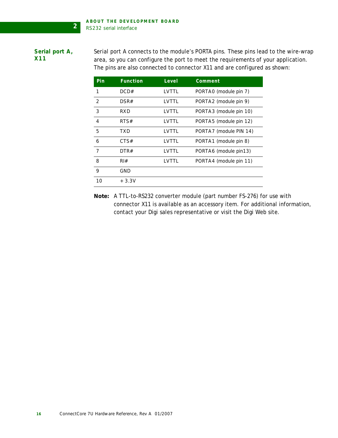### <span id="page-21-1"></span><span id="page-21-0"></span>**Serial port A, X11**

Serial port A connects to the module's PORTA pins. These pins lead to the wire-wrap area, so you can configure the port to meet the requirements of your application. The pins are also connected to connector X11 and are configured as shown:

| Pin            | <b>Function</b>  | Level | Comment                |
|----------------|------------------|-------|------------------------|
| 1              | DCD#             | LVTTL | PORTAO (module pin 7)  |
| 2              | DSR#             | LVTTL | PORTA2 (module pin 9)  |
| 3              | RXD              | LVTTL | PORTA3 (module pin 10) |
| $\overline{4}$ | RTS#             | LVTTL | PORTA5 (module pin 12) |
| 5              | TXD              | LVTTL | PORTA7 (module PIN 14) |
| 6              | CTS#             | LVTTL | PORTA1 (module pin 8)  |
| $\overline{7}$ | DTR#             | LVTTL | PORTA6 (module pin13)  |
| 8              | $R$ <sup>#</sup> | LVTTL | PORTA4 (module pin 11) |
| 9              | GND              |       |                        |
| 10             | $+3.3V$          |       |                        |

<span id="page-21-2"></span>**Note:** A TTL-to-RS232 converter module (part number FS-276) for use with connector X11 is available as an accessory item. For additional information, contact your Digi sales representative or visit the Digi Web site.

**2**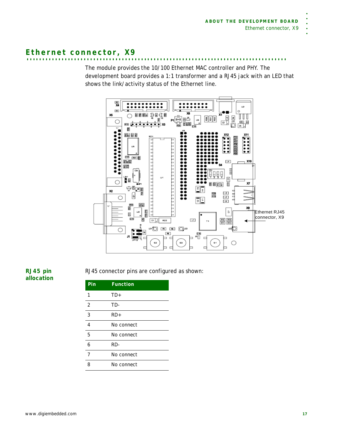# <span id="page-22-2"></span><span id="page-22-0"></span>**. . . . . . . . . . . . . . . . . . . . . . . . . . . . . . . . . . . . . . . . . . . . . . . . . . . . . . . . . . . . . . . . . . . . . . . . . . . . . . . . . . Ethernet connector, X9**

The module provides the 10/100 Ethernet MAC controller and PHY. The development board provides a 1:1 transformer and a RJ45 jack with an LED that shows the link/activity status of the Ethernet line.



<span id="page-22-3"></span><span id="page-22-1"></span>**RJ45 pin allocation** RJ45 connector pins are configured as shown:

| Pin            | <b>Function</b> |
|----------------|-----------------|
|                | $TD+$           |
| 2              | TD-             |
| 3              | $RD+$           |
| $\overline{4}$ | No connect      |
| 5              | No connect      |
| 6              | RD-             |
| 7              | No connect      |
| 8              | No connect      |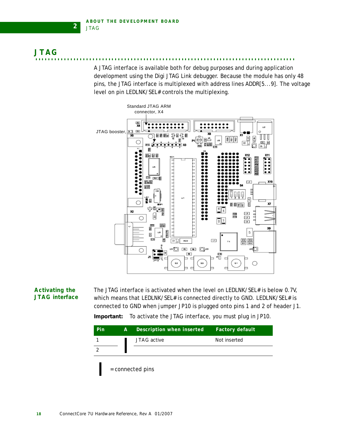**2**

<span id="page-23-2"></span><span id="page-23-0"></span>**. . . . . . . . . . . . . . . . . . . . . . . . . . . . . . . . . . . . . . . . . . . . . . . . . . . . . . . . . . . . . . . . . . . . . . . . . . . . . . . . . . JTAG**

A JTAG interface is available both for debug purposes and during application development using the Digi JTAG Link debugger. Because the module has only 48 pins, the JTAG interface is multiplexed with address lines ADDR[5...9]. The voltage level on pin LEDLNK/SEL# controls the multiplexing.



### <span id="page-23-3"></span><span id="page-23-1"></span>**Activating the JTAG interface**

The JTAG interface is activated when the level on LEDLNK/SEL# is below 0.7V, which means that LEDLNK/SEL# is connected directly to GND. LEDLNK/SEL# is connected to GND when jumper JP10 is plugged onto pins 1 and 2 of header J1.

**Important:** To activate the JTAG interface, you must plug in JP10.

| <b>Pin</b> | A. | Description when inserted | <b>Factory default</b> |
|------------|----|---------------------------|------------------------|
|            |    | JTAG active               | Not inserted           |
| っ          |    |                           |                        |
|            |    | = connected pins          |                        |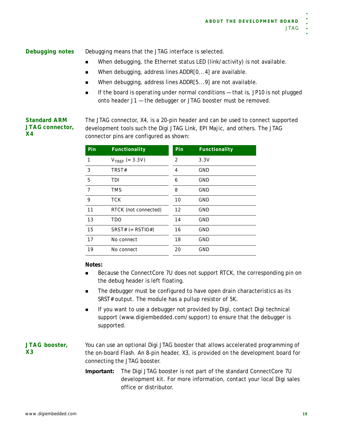<span id="page-24-6"></span><span id="page-24-0"></span>**Debugging notes** *Debugging* means that the JTAG interface is selected.

- When debugging, the Ethernet status LED (link/activity) is not available.
- When debugging, address lines ADDR[0...4] are available.
- When debugging, address lines ADDR[5...9] are not available.
- If the board is operating under normal conditions  $-$  that is, JP10 is not plugged onto header J1 — the debugger or JTAG booster must be removed.

#### <span id="page-24-5"></span><span id="page-24-1"></span>**Standard ARM JTAG connector, X4**

The JTAG connector, X4, is a 20-pin header and can be used to connect supported development tools such the Digi JTAG Link, EPI Majic, and others. The JTAG connector pins are configured as shown:

| Pin            | Functionality         | Pin | Functionality |
|----------------|-----------------------|-----|---------------|
| 1              | $V_{TREF}$ (= 3.3V)   | 2   | 3.3V          |
| 3              | TRST#                 | 4   | <b>GND</b>    |
| 5              | TDI                   | 6   | GND           |
| $\overline{7}$ | <b>TMS</b>            | 8   | <b>GND</b>    |
| 9              | <b>TCK</b>            | 10  | <b>GND</b>    |
| 11             | RTCK (not connected)  | 12  | <b>GND</b>    |
| 13             | <b>TDO</b>            | 14  | <b>GND</b>    |
| 15             | SRST# $(=$ RSTIO# $)$ | 16  | GND           |
| 17             | No connect            | 18  | <b>GND</b>    |
| 19             | No connect            | 20  | <b>GND</b>    |

### **Notes:**

- Because the ConnectCore 7U does not support RTCK, the corresponding pin on the debug header is left floating.
- The debugger must be configured to have open drain characteristics as its SRST# output. The module has a pullup resistor of 5K.
- **If you want to use a debugger not provided by Digi, contact Digi technical** support (www.digiembedded.com/support) to ensure that the debugger is supported.

#### <span id="page-24-4"></span><span id="page-24-2"></span>**JTAG booster, X3** You can use an optional Digi JTAG booster that allows accelerated programming of the on-board Flash. An 8-pin header, X3, is provided on the development board for connecting the JTAG booster.

<span id="page-24-3"></span>**Important:** The Digi JTAG booster is not part of the standard ConnectCore 7U development kit. For more information, contact your local Digi sales office or distributor.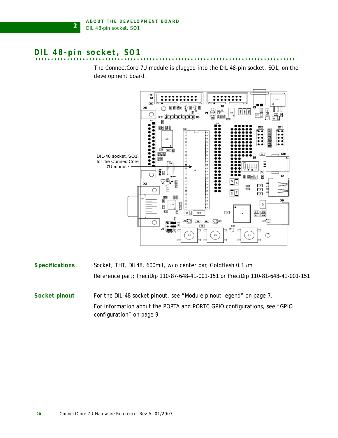# <span id="page-25-3"></span><span id="page-25-0"></span>**. . . . . . . . . . . . . . . . . . . . . . . . . . . . . . . . . . . . . . . . . . . . . . . . . . . . . . . . . . . . . . . . . . . . . . . . . . . . . . . . . . DIL 48-pin socket, SO1**

**2**

The ConnectCore 7U module is plugged into the DIL 48-pin socket, SO1, on the development board.



<span id="page-25-4"></span><span id="page-25-2"></span><span id="page-25-1"></span>

| <b>Specifications</b> | Socket, THT, DIL48, 600mil, w/o center bar, Goldflash 0.1µm                                            |
|-----------------------|--------------------------------------------------------------------------------------------------------|
|                       | Reference part: PreciDip 110-87-648-41-001-151 or PreciDip 110-81-648-41-001-151                       |
| Socket pinout         | For the DIL-48 socket pinout, see "Module pinout legend" on page 7.                                    |
|                       | For information about the PORTA and PORTC GPIO configurations, see "GPIO"<br>configuration" on page 9. |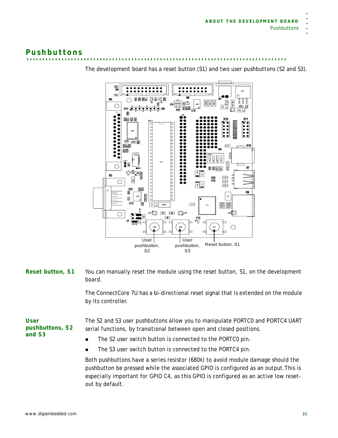# <span id="page-26-3"></span><span id="page-26-0"></span>**. . . . . . . . . . . . . . . . . . . . . . . . . . . . . . . . . . . . . . . . . . . . . . . . . . . . . . . . . . . . . . . . . . . . . . . . . . . . . . . . . . Pushbuttons**



The development board has a reset button (S1) and two user pushbuttons (S2 and S3).

<span id="page-26-4"></span><span id="page-26-1"></span>**Reset button, S1** You can manually reset the module using the reset button, S1, on the development board.

> The ConnectCore 7U has a bi-directional reset signal that is extended on the module by its controller.

<span id="page-26-5"></span><span id="page-26-2"></span>**User pushbuttons, S2 and S3**

The S2 and S3 user pushbuttons allow you to manipulate PORTC0 and PORTC4 UART serial functions, by transitional between open and closed positions.

- The S2 user switch button is connected to the PORTC0 pin.
- **The S3 user switch button is connected to the PORTC4 pin.**

Both pushbuttons have a series resistor (680R) to avoid module damage should the pushbutton be pressed while the associated GPIO is configured as an output.This is especially important for GPIO C4, as this GPIO is configured as an active low resetout by default.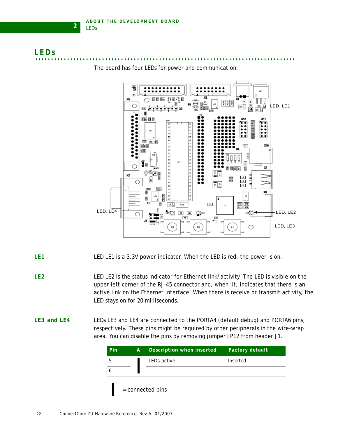**2**

<span id="page-27-4"></span><span id="page-27-0"></span>



The board has four LEDs for power and communication.

- <span id="page-27-5"></span><span id="page-27-1"></span>**LE1** LED LE1 is a 3.3V power indicator. When the LED is red, the power is on.
- <span id="page-27-6"></span><span id="page-27-2"></span>**LE2** LED LE2 is the status indicator for Ethernet link/activity. The LED is visible on the upper left corner of the RJ-45 connector and, when lit, indicates that there is an active link on the Ethernet interface. When there is receive or transmit activity, the LED stays on for 20 milliseconds.
- <span id="page-27-7"></span><span id="page-27-3"></span>**LE3 and LE4** LEDs LE3 and LE4 are connected to the PORTA4 (default debug) and PORTA6 pins, respectively. These pins might be required by other peripherals in the wire-wrap area. You can disable the pins by removing jumper JP12 from header J1.

| Pin | A | Description when inserted | <b>Factory default</b> |
|-----|---|---------------------------|------------------------|
| 5   |   | LEDs active               | Inserted               |
| n   |   |                           |                        |
|     |   | = connected pins          |                        |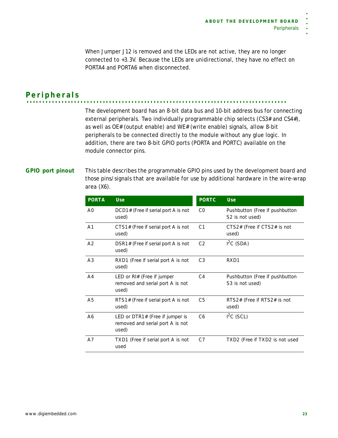When Jumper J12 is removed and the LEDs are not active, they are no longer connected to +3.3V. Because the LEDs are unidirectional, they have no effect on PORTA4 and PORTA6 when disconnected.

<span id="page-28-2"></span><span id="page-28-0"></span>**. . . . . . . . . . . . . . . . . . . . . . . . . . . . . . . . . . . . . . . . . . . . . . . . . . . . . . . . . . . . . . . . . . . . . . . . . . . . . . . . . . Peripherals**

The development board has an 8-bit data bus and 10-bit address bus for connecting external peripherals. Two individually programmable chip selects (CS3# and CS4#), as well as OE# (output enable) and WE# (write enable) signals, allow 8-bit peripherals to be connected directly to the module without any glue logic. In addition, there are two 8-bit GPIO ports (PORTA and PORTC) available on the module connector pins.

## <span id="page-28-3"></span><span id="page-28-1"></span>**GPIO port pinout** This table describes the programmable GPIO pins used by the development board and those pins/signals that are available for use by additional hardware in the wire-wrap area (X6).

| <b>PORTA</b>   | <b>Use</b>                                                                   | <b>PORTC</b>   | Use                                               |
|----------------|------------------------------------------------------------------------------|----------------|---------------------------------------------------|
| A <sub>O</sub> | DCD1# (Free if serial port A is not<br>used)                                 | CO.            | Pushbutton (Free if pushbutton<br>S2 is not used) |
| A <sub>1</sub> | CTS1# (Free if serial port A is not<br>used)                                 | C <sub>1</sub> | CTS2# (Free if CTS2# is not<br>used)              |
| A <sub>2</sub> | DSR1# (Free if serial port A is not<br>used)                                 | C <sub>2</sub> | $I2C$ (SDA)                                       |
| A <sub>3</sub> | RXD1 (Free if serial port A is not<br>used)                                  | C <sub>3</sub> | RXD1                                              |
| A <sub>4</sub> | LED or $R$ I# (Free if jumper<br>removed and serial port A is not<br>used)   | C <sub>4</sub> | Pushbutton (Free if pushbutton<br>S3 is not used) |
| A <sub>5</sub> | RTS1# (Free if serial port A is not<br>used)                                 | C <sub>5</sub> | RTS2# (Free if RTS2# is not<br>used)              |
| A6             | LED or DTR1# (Free if jumper is<br>removed and serial port A is not<br>used) | C <sub>6</sub> | $I2C$ (SCL)                                       |
| A7             | TXD1 (Free if serial port A is not<br>used                                   | C7             | TXD2 (Free if TXD2 is not used                    |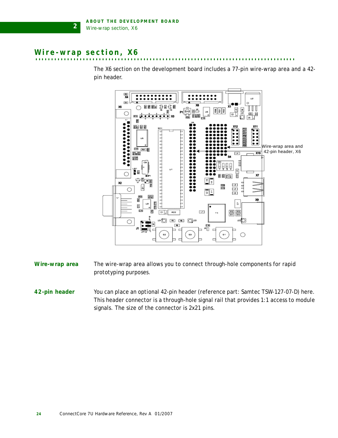## <span id="page-29-4"></span><span id="page-29-0"></span>**Wire-wrap section, X6**

**2**

The X6 section on the development board includes a 77-pin wire-wrap area and a 42 pin header.



- <span id="page-29-1"></span>**Wire-wrap area** The wire-wrap area allows you to connect through-hole components for rapid prototyping purposes.
- <span id="page-29-3"></span><span id="page-29-2"></span>**42-pin header** You can place an optional 42-pin header (reference part: Samtec TSW-127-07-D) here. This header connector is a through-hole signal rail that provides 1:1 access to module signals. The size of the connector is 2x21 pins.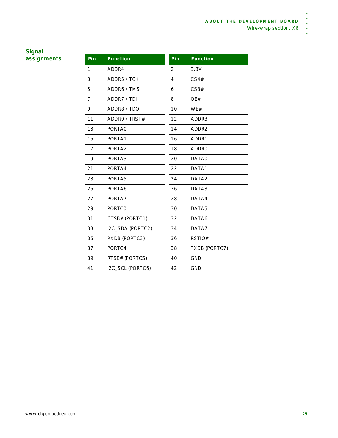ä  $\ddot{\phantom{0}}$  $\ddot{\phantom{0}}$ l.

## <span id="page-30-0"></span>**Signal**   $\frac{9}{2}$  **assignments**

| Pin | <b>Function</b>  | Pin | <b>Function</b>   |
|-----|------------------|-----|-------------------|
| 1   | ADDR4            | 2   | 3.3V              |
| 3   | ADDR5 / TCK      | 4   | CS4#              |
| 5   | ADDR6 / TMS      | 6   | CS3#              |
| 7   | ADDR7 / TDI      | 8   | OE#               |
| 9   | ADDR8 / TDO      | 10  | WE#               |
| 11  | ADDR9 / TRST#    | 12  | ADDR3             |
| 13  | PORTA0           | 14  | ADDR2             |
| 15  | PORTA1           | 16  | ADDR1             |
| 17  | PORTA2           | 18  | ADDR0             |
| 19  | PORTA3           | 20  | DATA0             |
| 21  | PORTA4           | 22  | DATA1             |
| 23  | PORTA5           | 24  | DATA <sub>2</sub> |
| 25  | PORTA6           | 26  | DATA3             |
| 27  | PORTA7           | 28  | DATA4             |
| 29  | <b>PORTCO</b>    | 30  | DATA <sub>5</sub> |
| 31  | CTSB# (PORTC1)   | 32  | DATA6             |
| 33  | I2C_SDA (PORTC2) | 34  | DATA7             |
| 35  | RXDB (PORTC3)    | 36  | RSTIO#            |
| 37  | PORTC4           | 38  | TXDB (PORTC7)     |
| 39  | RTSB# (PORTC5)   | 40  | <b>GND</b>        |
| 41  | I2C_SCL (PORTC6) | 42  | <b>GND</b>        |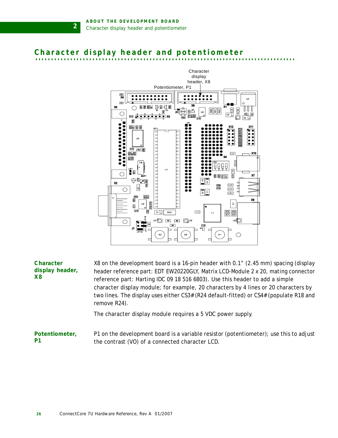**2**

# <span id="page-31-0"></span>Character display header and potentiometer



<span id="page-31-3"></span><span id="page-31-1"></span>**Character display header, X8** X8 on the development board is a 16-pin header with 0.1" (2.45 mm) spacing (display header reference part: EDT EW20220GLY, Matrix LCD-Module 2 x 20, mating connector reference part: Harting IDC 09 18 516 6803). Use this header to add a simple character display module; for example, 20 characters by 4 lines or 20 characters by two lines. The display uses either CS3# (R24 default-fitted) or CS4# (populate R18 and remove R24). The character display module requires a 5 VDC power supply.

<span id="page-31-4"></span><span id="page-31-2"></span>**Potentiometer, P1** P1 on the development board is a variable resistor (potentiometer); use this to adjust the contrast (VO) of a connected character LCD.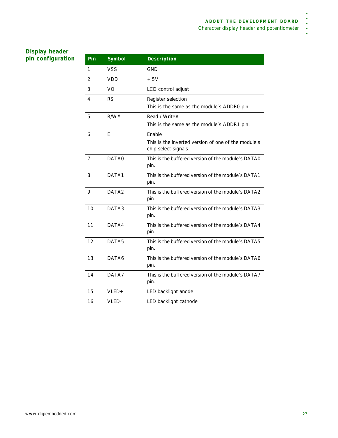$\ddot{\phantom{0}}$  $\ddot{\phantom{a}}$  $\overline{a}$ 

## <span id="page-32-1"></span><span id="page-32-0"></span>**Display header**   $\overline{\text{p}}$  **pin** configuration

| Pin            | Symbol     | <b>Description</b>                                                                    |
|----------------|------------|---------------------------------------------------------------------------------------|
| 1              | <b>VSS</b> | <b>GND</b>                                                                            |
| 2              | VDD        | $+5V$                                                                                 |
| 3              | VO         | LCD control adjust                                                                    |
| 4              | <b>RS</b>  | Register selection<br>This is the same as the module's ADDRO pin.                     |
| 5              | R/W#       | Read / Write#<br>This is the same as the module's ADDR1 pin.                          |
| 6              | E          | Enable<br>This is the inverted version of one of the module's<br>chip select signals. |
| $\overline{7}$ | DATA0      | This is the buffered version of the module's DATAO<br>pin.                            |
| 8              | DATA1      | This is the buffered version of the module's DATA1<br>pin.                            |
| 9              | DATA2      | This is the buffered version of the module's DATA2<br>pin.                            |
| 10             | DATA3      | This is the buffered version of the module's DATA3<br>pin.                            |
| 11             | DATA4      | This is the buffered version of the module's DATA4<br>pin.                            |
| 12             | DATA5      | This is the buffered version of the module's DATA5<br>pin.                            |
| 13             | DATA6      | This is the buffered version of the module's DATA6<br>pin.                            |
| 14             | DATA7      | This is the buffered version of the module's DATA7<br>pin.                            |
| 15             | $VLED +$   | LED backlight anode                                                                   |
| 16             | VLED-      | LED backlight cathode                                                                 |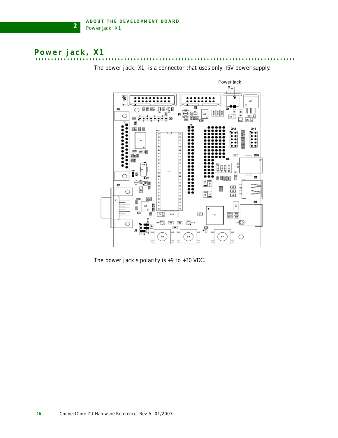# <span id="page-33-2"></span><span id="page-33-0"></span>**. . . . . . . . . . . . . . . . . . . . . . . . . . . . . . . . . . . . . . . . . . . . . . . . . . . . . . . . . . . . . . . . . . . . . . . . . . . . . . . . . . Power jack, X1**

**2**



The power jack, X1, is a connector that uses only +5V power supply.

<span id="page-33-1"></span>The power jack's polarity is +9 to +30 VDC.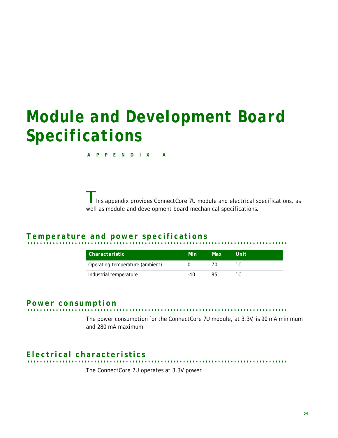# <span id="page-34-0"></span>*Module and Development Board Specifications*

**APPENDIX A**

This appendix provides ConnectCore 7U module and electrical specifications, as well as module and development board mechanical specifications.

# <span id="page-34-6"></span><span id="page-34-1"></span>**. . . . . . . . . . . . . . . . . . . . . . . . . . . . . . . . . . . . . . . . . . . . . . . . . . . . . . . . . . . . . . . . . . . . . . . . . . . . . . . . . . Temperature and power specifications**

| Characteristic                  | Min | Max                    | Unit              |
|---------------------------------|-----|------------------------|-------------------|
| Operating temperature (ambient) |     | $\prime$ <sup>()</sup> | $^{\circ}$ $\cap$ |
| Industrial temperature          | -40 | 85                     | $^{\circ}$ $\cap$ |

<span id="page-34-5"></span><span id="page-34-2"></span>**. . . . . . . . . . . . . . . . . . . . . . . . . . . . . . . . . . . . . . . . . . . . . . . . . . . . . . . . . . . . . . . . . . . . . . . . . . . . . . . . . . Power consumption**

The power consumption for the ConnectCore 7U module, at 3.3V, is 90 mA minimum and 280 mA maximum.

# <span id="page-34-4"></span><span id="page-34-3"></span>**. . . . . . . . . . . . . . . . . . . . . . . . . . . . . . . . . . . . . . . . . . . . . . . . . . . . . . . . . . . . . . . . . . . . . . . . . . . . . . . . . . Electrical characteristics**

The ConnectCore 7U operates at 3.3V power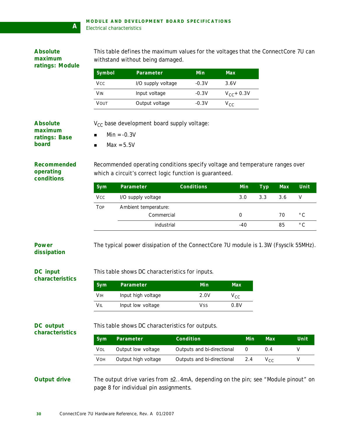<span id="page-35-11"></span><span id="page-35-10"></span><span id="page-35-9"></span><span id="page-35-8"></span><span id="page-35-7"></span><span id="page-35-6"></span><span id="page-35-5"></span><span id="page-35-4"></span><span id="page-35-3"></span><span id="page-35-2"></span><span id="page-35-1"></span><span id="page-35-0"></span>

| <b>Absolute</b><br>maximum<br>ratings: Module | This table defines the maximum values for the voltages that the ConnectCore 7U can<br>withstand without being damaged. |                                                                                                                                                      |                            |                 |             |            |             |              |
|-----------------------------------------------|------------------------------------------------------------------------------------------------------------------------|------------------------------------------------------------------------------------------------------------------------------------------------------|----------------------------|-----------------|-------------|------------|-------------|--------------|
|                                               | Symbol                                                                                                                 | Parameter                                                                                                                                            | Min                        | <b>Max</b>      |             |            |             |              |
|                                               | Vcc                                                                                                                    | I/O supply voltage                                                                                                                                   | $-0.3V$                    | 3.6V            |             |            |             |              |
|                                               | <b>VIN</b>                                                                                                             | Input voltage                                                                                                                                        | $-0.3V$                    | $V_{CC}$ + 0.3V |             |            |             |              |
|                                               | VOUT                                                                                                                   | Output voltage                                                                                                                                       | $-0.3V$                    | $V_{CC}$        |             |            |             |              |
| <b>Absolute</b><br>maximum                    |                                                                                                                        | V <sub>CC</sub> base development board supply voltage:                                                                                               |                            |                 |             |            |             |              |
| ratings: Base<br>board                        | $\blacksquare$                                                                                                         | $Min = -0.3V$<br>$Max = 5.5V$                                                                                                                        |                            |                 |             |            |             |              |
| <b>Recommended</b><br>operating<br>conditions | Sym                                                                                                                    | Recommended operating conditions specify voltage and temperature ranges over<br>which a circuit's correct logic function is guaranteed.<br>Parameter | <b>Conditions</b>          |                 | Min         | <b>Typ</b> | $\n  Max\n$ | Unit         |
|                                               | <b>Vcc</b>                                                                                                             | I/O supply voltage                                                                                                                                   |                            |                 | 3.0         | 3.3        | 3.6         | $\mathsf{V}$ |
|                                               | <b>TOP</b>                                                                                                             | Ambient temperature:                                                                                                                                 |                            |                 |             |            |             |              |
|                                               |                                                                                                                        | Commercial                                                                                                                                           |                            |                 | $\mathbf 0$ |            | 70          | $^{\circ}$ C |
|                                               |                                                                                                                        | industrial                                                                                                                                           |                            |                 | $-40$       |            | 85          | $^{\circ}$ C |
| <b>Power</b><br>dissipation                   |                                                                                                                        | The typical power dissipation of the ConnectCore 7U module is 1.3W (Fsysclk 55MHz).                                                                  |                            |                 |             |            |             |              |
| <b>DC</b> input<br>characteristics            |                                                                                                                        | This table shows DC characteristics for inputs.                                                                                                      |                            |                 |             |            |             |              |
|                                               | Sym                                                                                                                    | Parameter                                                                                                                                            | Min                        | Max             |             |            |             |              |
|                                               | <b>VIH</b>                                                                                                             | Input high voltage                                                                                                                                   | 2.0V                       | $V_{CC}$        |             |            |             |              |
|                                               | VIL                                                                                                                    | Input low voltage                                                                                                                                    | <b>VSS</b>                 | 0.8V            |             |            |             |              |
| <b>DC</b> output<br>characteristics           | This table shows DC characteristics for outputs.                                                                       |                                                                                                                                                      |                            |                 |             |            |             |              |
|                                               | Sym                                                                                                                    | Parameter                                                                                                                                            | Condition                  |                 | Min         | Max        |             | Unit         |
|                                               | <b>VOL</b>                                                                                                             | Output low voltage                                                                                                                                   | Outputs and bi-directional |                 | 0           | 0.4        |             | V            |
|                                               | <b>VOH</b>                                                                                                             | Output high voltage                                                                                                                                  | Outputs and bi-directional |                 | 2.4         | $V_{CC}$   |             | V            |
| <b>Output drive</b>                           |                                                                                                                        | The output drive varies from $\pm 2$ . 4mA, depending on the pin; see "Module pinout" on<br>page 8 for individual pin assignments.                   |                            |                 |             |            |             |              |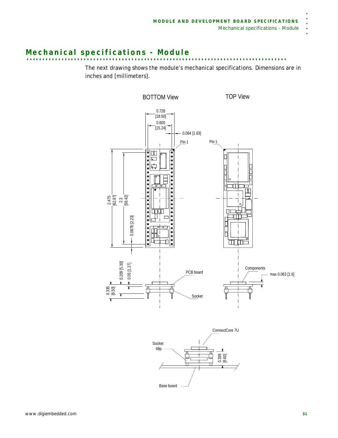# **. . . . . . . . . . . . . . . . . . . . . . . . . . . . . . . . . . . . . . . . . . . . . . . . . . . . . . . . . . . . . . . . . . . . . . . . . . . . . . . . . . Mechanical specifications - Module**

The next drawing shows the module's mechanical specifications. Dimensions are in inches and [millimeters].





. . . . .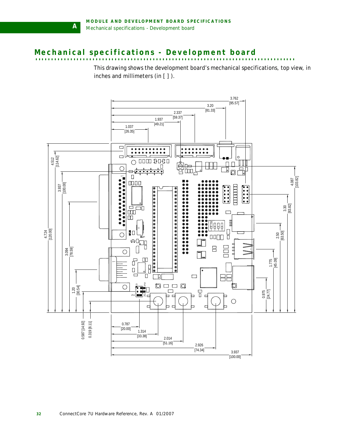**A**

# <span id="page-37-1"></span><span id="page-37-0"></span>Mechanical specifications - Development board

This drawing shows the development board's mechanical specifications, top view, in inches and millimeters (in [ ] ).

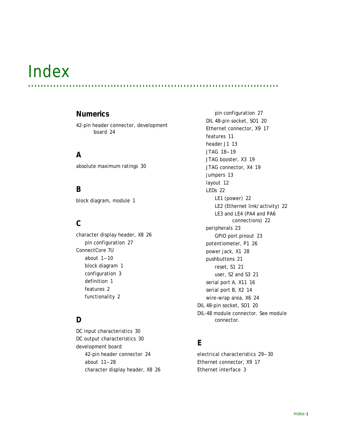# *Index*

## **Numerics**

[42-pin header connector, development](#page-29-3)  board 24

**. . . . . . . . . . . . . . . . . . . . . . . . . . . . . . . . . . . . . . . . . . . . . . . . . . . . . . . . . . . . . . . . . . . . . . . . . . . . . . .**

## **A**

[absolute maximum ratings 30](#page-35-6)

## **B**

[block diagram, module 1](#page-6-2)

# **C**

[character display header, X8 26](#page-31-3) [pin configuration 27](#page-32-1) ConnectCore 7U about  $1-10$  $1-10$ [block diagram 1](#page-6-2) [configuration 3](#page-8-5) [definition 1](#page-6-4) [features 2](#page-7-1) [functionality 2](#page-7-1)

# **D**

[DC input characteristics 30](#page-35-7) [DC output characteristics 30](#page-35-8) development board [42-pin header connector 24](#page-29-3) [about 11-](#page-16-3)[28](#page-33-1) [character display header, X8 26](#page-31-3)

[pin configuration 27](#page-32-1) [DIL 48-pin socket, SO1 20](#page-25-3) [Ethernet connector, X9 17](#page-22-2) [features 11](#page-16-4) [header J1 13](#page-18-3) [JTAG 18](#page-23-2)[-19](#page-24-3) [JTAG booster, X3 19](#page-24-4) [JTAG connector, X4 19](#page-24-5) [jumpers 13](#page-18-4) [layout 12](#page-17-1) [LEDs 22](#page-27-4) [LE1 \(power\) 22](#page-27-5) [LE2 \(Ethernet link/activity\) 22](#page-27-6) [LE3 and LE4 \(PA4 and PA6](#page-27-7)  connections) 22 [peripherals 23](#page-28-2) [GPIO port pinout 23](#page-28-3) [potentiometer, P1 26](#page-31-4) [power jack, X1 28](#page-33-2) [pushbuttons 21](#page-26-3) [reset, S1 21](#page-26-4) [user, S2 and S3 21](#page-26-5) [serial port A, X11 16](#page-21-1) [serial port B, X2 14](#page-19-3) [wire-wrap area, X6 24](#page-29-4) [DIL 48-pin socket, SO1 20](#page-25-3) [DIL-48 module connector.](#page-12-4) *See module connector.*

# **E**

[electrical characteristics 29](#page-34-4)[-30](#page-35-9) [Ethernet connector, X9 17](#page-22-2) [Ethernet interface 3](#page-8-6)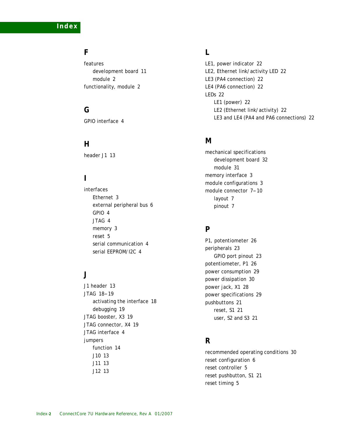**Index**

## **F**

features [development board 11](#page-16-4) [module 2](#page-7-1) [functionality, module 2](#page-7-1)

## **G**

[GPIO interface 4](#page-9-4)

## **H**

[header J1 13](#page-18-3)

# **I**

interfaces [Ethernet 3](#page-8-6) [external peripheral bus 6](#page-11-2) [GPIO 4](#page-9-4) [JTAG 4](#page-9-5) [memory 3](#page-8-7) [reset 5](#page-10-2) [serial communication 4](#page-9-6) [serial EEPROM/I2C 4](#page-9-7)

## **J**

[J1 header 13](#page-18-3) [JTAG 18](#page-23-2)-[19](#page-24-3) [activating the interface 18](#page-23-3) [debugging 19](#page-24-6) [JTAG booster, X3 19](#page-24-4) [JTAG connector, X4 19](#page-24-5) [JTAG interface 4](#page-9-5) jumpers [function 14](#page-19-4) [J10 13](#page-18-4) [J11 13](#page-18-4) [J12 13](#page-18-4)

# **L**

[LE1, power indicator 22](#page-27-5) [LE2, Ethernet link/activity LED 22](#page-27-6) [LE3 \(PA4 connection\) 22](#page-27-7) [LE4 \(PA6 connection\) 22](#page-27-7) [LEDs 22](#page-27-4) [LE1 \(power\) 22](#page-27-5) [LE2 \(Ethernet link/activity\) 22](#page-27-6) [LE3 and LE4 \(PA4 and PA6 connections\) 22](#page-27-7)

## **M**

mechanical specifications [development board 32](#page-37-1) module 31 [memory interface 3](#page-8-7) [module configurations 3](#page-8-5) [module connector 7](#page-12-4)[-10](#page-15-0) [layout 7](#page-12-5) [pinout 7](#page-12-3)

## **P**

[P1, potentiometer 26](#page-31-4) [peripherals 23](#page-28-2) [GPIO port pinout 23](#page-28-3) [potentiometer, P1 26](#page-31-4) [power consumption 29](#page-34-5) [power dissipation 30](#page-35-10) [power jack, X1 28](#page-33-2) [power specifications 29](#page-34-6) [pushbuttons 21](#page-26-3) [reset, S1 21](#page-26-4) [user, S2 and S3 21](#page-26-5)

## **R**

[recommended operating conditions 30](#page-35-11) [reset configuration 6](#page-11-3) [reset controller 5](#page-10-2) [reset pushbutton, S1 21](#page-26-4) [reset timing 5](#page-10-3)